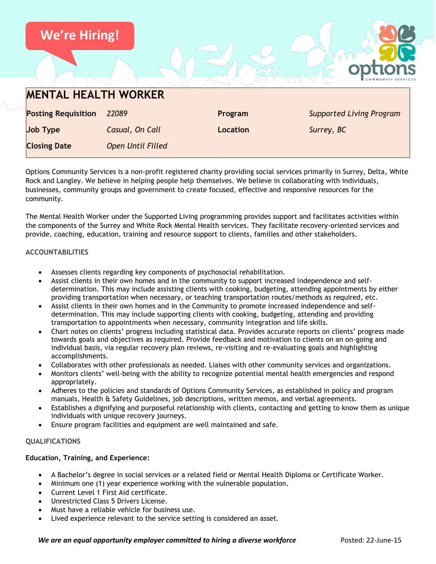

Options Community Services is a non-profit registered charity providing social services primarily in Surrey, Delta, White Rock and Langley. We believe in helping people help themselves. We believe in collaborating with individuals, businesses, community groups and government to create focused, effective and responsive resources for the community.

The Mental Health Worker under the Supported Living programming provides support and facilitates activities within the components of the Surrey and White Rock Mental Health services. They facilitate recovery-oriented services and provide, coaching, education, training and resource support to clients, families and other stakeholders.

## **ACCOUNTABILITIES**

- Assesses clients regarding key components of psychosocial rehabilitation.
- Assist clients in their own homes and in the community to support increased independence and selfdetermination. This may include assisting clients with cooking, budgeting, attending appointments by either providing transportation when necessary, or teaching transportation routes/methods as required, etc.
- Assist clients in their own homes and in the Community to promote increased independence and selfdetermination. This may include supporting clients with cooking, budgeting, attending and providing transportation to appointments when necessary, community integration and life skills.
- Chart notes on clients' progress including statistical data. Provides accurate reports on clients' progress made towards goals and objectives as required. Provide feedback and motivation to clients on an on-going and individual basis, via regular recovery plan reviews, re-visiting and re-evaluating goals and highlighting accomplishments.
- Collaborates with other professionals as needed. Liaises with other community services and organizations.
- Monitors clients' well-being with the ability to recognize potential mental health emergencies and respond appropriately.
- Adheres to the policies and standards of Options Community Services, as established in policy and program manuals, Health & Safety Guidelines, job descriptions, written memos, and verbal agreements.
- Establishes a dignifying and purposeful relationship with clients, contacting and getting to know them as unique individuals with unique recovery journeys.
- Ensure program facilities and equipment are well maintained and safe.

## **QUALIFICATIONS**

## **Education, Training, and Experience:**

- A Bachelor's degree in social services or a related field or Mental Health Diploma or Certificate Worker.
- Minimum one (1) year experience working with the vulnerable population.
- Current Level 1 First Aid certificate.
- Unrestricted Class 5 Drivers License.
- Must have a reliable vehicle for business use.
- Lived experience relevant to the service setting is considered an asset.